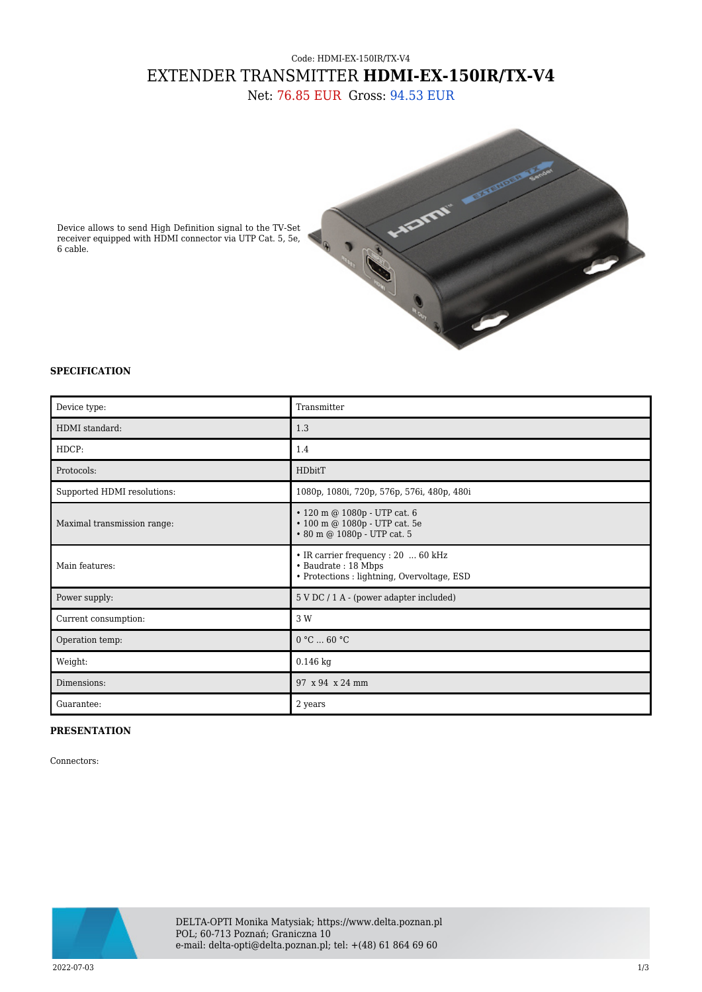## Code: HDMI-EX-150IR/TX-V4 EXTENDER TRANSMITTER **HDMI-EX-150IR/TX-V4**

Net: 76.85 EUR Gross: 94.53 EUR



Device allows to send High Definition signal to the TV-Set receiver equipped with HDMI connector via UTP Cat. 5, 5e, 6 cable.

## **SPECIFICATION**

| Device type:                | Transmitter                                                                                               |
|-----------------------------|-----------------------------------------------------------------------------------------------------------|
| HDMI standard:              | 1.3                                                                                                       |
| HDCP:                       | 1.4                                                                                                       |
| Protocols:                  | HDbitT                                                                                                    |
| Supported HDMI resolutions: | 1080p, 1080i, 720p, 576p, 576i, 480p, 480i                                                                |
| Maximal transmission range: | • 120 m @ 1080p - UTP cat. 6<br>• 100 m @ 1080p - UTP cat. 5e<br>• 80 m @ 1080p - UTP cat. 5              |
| Main features:              | • IR carrier frequency : 20  60 kHz<br>• Baudrate: 18 Mbps<br>• Protections : lightning, Overvoltage, ESD |
| Power supply:               | 5 V DC / 1 A - (power adapter included)                                                                   |
| Current consumption:        | 3 W                                                                                                       |
| Operation temp:             | 0 °C  60 °C                                                                                               |
| Weight:                     | $0.146$ kg                                                                                                |
| Dimensions:                 | 97 x 94 x 24 mm                                                                                           |
| Guarantee:                  | 2 years                                                                                                   |

## **PRESENTATION**

Connectors:



DELTA-OPTI Monika Matysiak; https://www.delta.poznan.pl POL; 60-713 Poznań; Graniczna 10 e-mail: delta-opti@delta.poznan.pl; tel: +(48) 61 864 69 60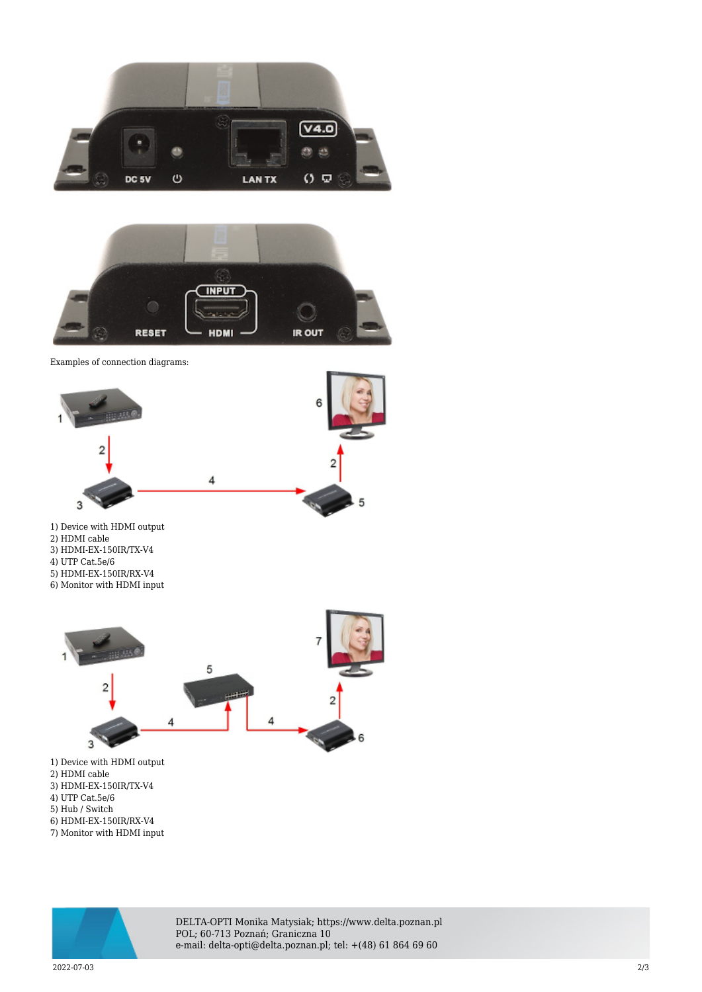



Examples of connection diagrams:



- 2) HDMI cable
- 3) HDMI-EX-150IR/TX-V4 4) UTP Cat.5e/6
- 5) HDMI-EX-150IR/RX-V4

6) Monitor with HDMI input



- 2) HDMI cable
- 3) HDMI-EX-150IR/TX-V4
- 4) UTP Cat.5e/6
- 5) Hub / Switch
- 6) HDMI-EX-150IR/RX-V4 7) Monitor with HDMI input



DELTA-OPTI Monika Matysiak; https://www.delta.poznan.pl POL; 60-713 Poznań; Graniczna 10 e-mail: delta-opti@delta.poznan.pl; tel: +(48) 61 864 69 60

2022-07-03 2/3